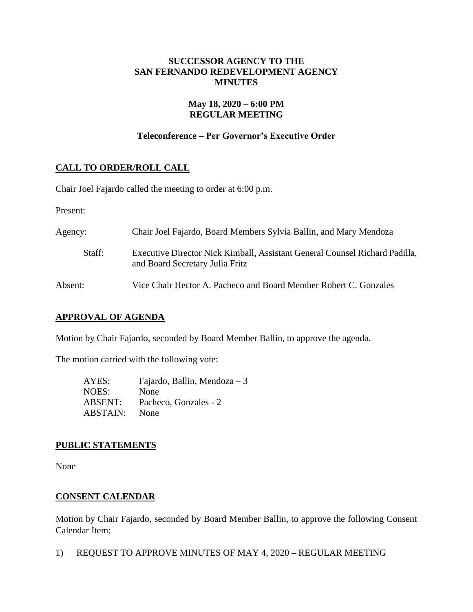# **SUCCESSOR AGENCY TO THE SAN FERNANDO REDEVELOPMENT AGENCY MINUTES**

# **May 18, 2020 – 6:00 PM REGULAR MEETING**

# **Teleconference – Per Governor's Executive Order**

# **CALL TO ORDER/ROLL CALL**

Chair Joel Fajardo called the meeting to order at 6:00 p.m.

Present:

| Agency: | Chair Joel Fajardo, Board Members Sylvia Ballin, and Mary Mendoza                                              |
|---------|----------------------------------------------------------------------------------------------------------------|
| Staff:  | Executive Director Nick Kimball, Assistant General Counsel Richard Padilla,<br>and Board Secretary Julia Fritz |
| Absent: | Vice Chair Hector A. Pacheco and Board Member Robert C. Gonzales                                               |

### **APPROVAL OF AGENDA**

Motion by Chair Fajardo, seconded by Board Member Ballin, to approve the agenda.

The motion carried with the following vote:

AYES: Fajardo, Ballin, Mendoza – 3 NOES: None ABSENT: Pacheco, Gonzales - 2 ABSTAIN: None

### **PUBLIC STATEMENTS**

None

### **CONSENT CALENDAR**

Motion by Chair Fajardo, seconded by Board Member Ballin, to approve the following Consent Calendar Item:

1) REQUEST TO APPROVE MINUTES OF MAY 4, 2020 – REGULAR MEETING